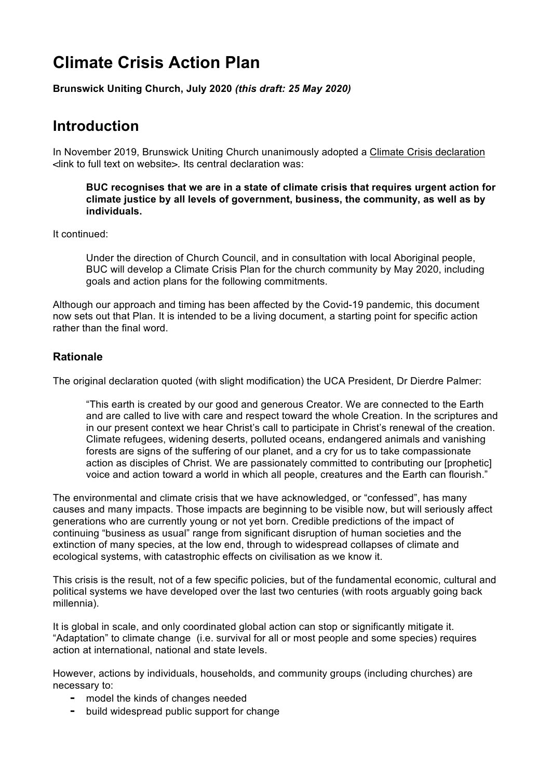# **Climate Crisis Action Plan**

**Brunswick Uniting Church, July 2020** *(this draft: 25 May 2020)*

# **Introduction**

In November 2019, Brunswick Uniting Church unanimously adopted a Climate Crisis declaration <link to full text on website>. Its central declaration was:

#### **BUC recognises that we are in a state of climate crisis that requires urgent action for climate justice by all levels of government, business, the community, as well as by individuals.**

It continued:

Under the direction of Church Council, and in consultation with local Aboriginal people, BUC will develop a Climate Crisis Plan for the church community by May 2020, including goals and action plans for the following commitments.

Although our approach and timing has been affected by the Covid-19 pandemic, this document now sets out that Plan. It is intended to be a living document, a starting point for specific action rather than the final word.

#### **Rationale**

The original declaration quoted (with slight modification) the UCA President, Dr Dierdre Palmer:

"This earth is created by our good and generous Creator. We are connected to the Earth and are called to live with care and respect toward the whole Creation. In the scriptures and in our present context we hear Christ's call to participate in Christ's renewal of the creation. Climate refugees, widening deserts, polluted oceans, endangered animals and vanishing forests are signs of the suffering of our planet, and a cry for us to take compassionate action as disciples of Christ. We are passionately committed to contributing our [prophetic] voice and action toward a world in which all people, creatures and the Earth can flourish."

The environmental and climate crisis that we have acknowledged, or "confessed", has many causes and many impacts. Those impacts are beginning to be visible now, but will seriously affect generations who are currently young or not yet born. Credible predictions of the impact of continuing "business as usual" range from significant disruption of human societies and the extinction of many species, at the low end, through to widespread collapses of climate and ecological systems, with catastrophic effects on civilisation as we know it.

This crisis is the result, not of a few specific policies, but of the fundamental economic, cultural and political systems we have developed over the last two centuries (with roots arguably going back millennia).

It is global in scale, and only coordinated global action can stop or significantly mitigate it. "Adaptation" to climate change (i.e. survival for all or most people and some species) requires action at international, national and state levels.

However, actions by individuals, households, and community groups (including churches) are necessary to:

- ⁃ model the kinds of changes needed
- ⁃ build widespread public support for change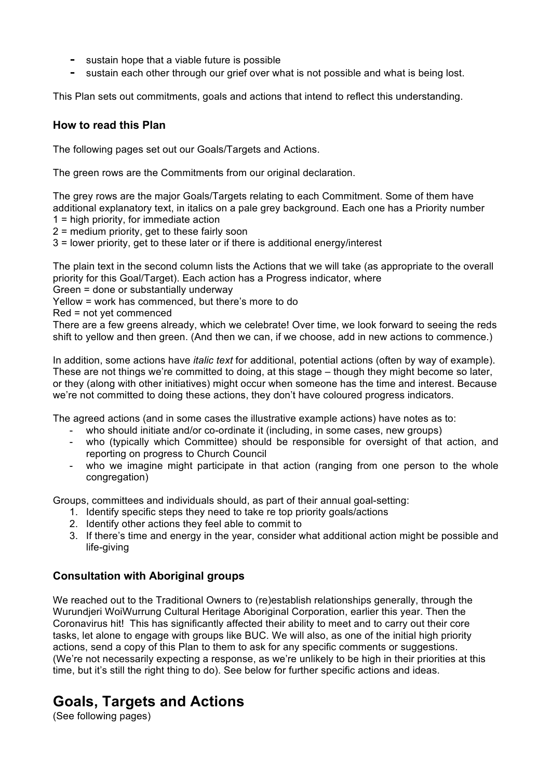- ⁃ sustain hope that a viable future is possible
- sustain each other through our grief over what is not possible and what is being lost.

This Plan sets out commitments, goals and actions that intend to reflect this understanding.

#### **How to read this Plan**

The following pages set out our Goals/Targets and Actions.

The green rows are the Commitments from our original declaration.

The grey rows are the major Goals/Targets relating to each Commitment. Some of them have additional explanatory text, in italics on a pale grey background. Each one has a Priority number 1 = high priority, for immediate action

2 = medium priority, get to these fairly soon

3 = lower priority, get to these later or if there is additional energy/interest

The plain text in the second column lists the Actions that we will take (as appropriate to the overall priority for this Goal/Target). Each action has a Progress indicator, where

Green = done or substantially underway

Yellow = work has commenced, but there's more to do

Red = not yet commenced

There are a few greens already, which we celebrate! Over time, we look forward to seeing the reds shift to yellow and then green. (And then we can, if we choose, add in new actions to commence.)

In addition, some actions have *italic text* for additional, potential actions (often by way of example). These are not things we're committed to doing, at this stage – though they might become so later, or they (along with other initiatives) might occur when someone has the time and interest. Because we're not committed to doing these actions, they don't have coloured progress indicators.

The agreed actions (and in some cases the illustrative example actions) have notes as to:

- who should initiate and/or co-ordinate it (including, in some cases, new groups)
- who (typically which Committee) should be responsible for oversight of that action, and reporting on progress to Church Council
- who we imagine might participate in that action (ranging from one person to the whole congregation)

Groups, committees and individuals should, as part of their annual goal-setting:

- 1. Identify specific steps they need to take re top priority goals/actions
- 2. Identify other actions they feel able to commit to
- 3. If there's time and energy in the year, consider what additional action might be possible and life-giving

#### **Consultation with Aboriginal groups**

We reached out to the Traditional Owners to (re)establish relationships generally, through the Wurundjeri WoiWurrung Cultural Heritage Aboriginal Corporation, earlier this year. Then the Coronavirus hit! This has significantly affected their ability to meet and to carry out their core tasks, let alone to engage with groups like BUC. We will also, as one of the initial high priority actions, send a copy of this Plan to them to ask for any specific comments or suggestions. (We're not necessarily expecting a response, as we're unlikely to be high in their priorities at this time, but it's still the right thing to do). See below for further specific actions and ideas.

# **Goals, Targets and Actions**

(See following pages)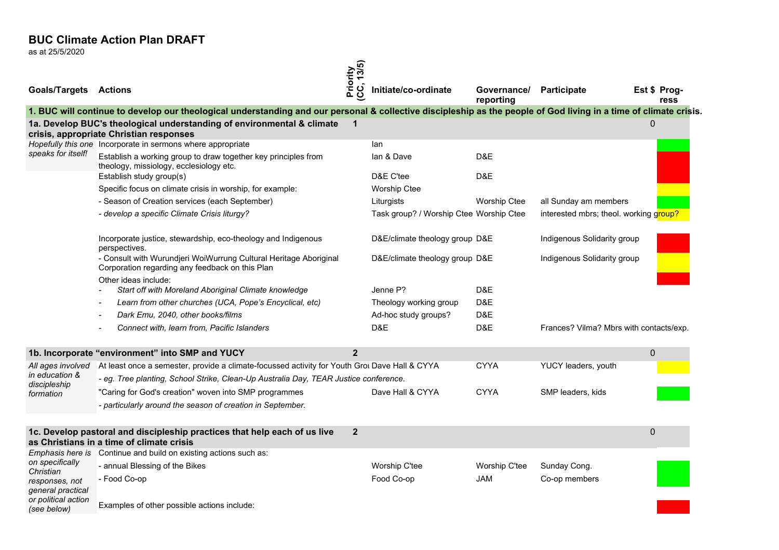as at 25/5/2020

| <b>Goals/Targets Actions</b>        |                                                                                                                                                                   | Priority<br>(CC, 13/5) | Initiate/co-ordinate                    | Governance/<br>reporting | Participate                             | Est \$ Prog-<br>ress |
|-------------------------------------|-------------------------------------------------------------------------------------------------------------------------------------------------------------------|------------------------|-----------------------------------------|--------------------------|-----------------------------------------|----------------------|
|                                     | 1. BUC will continue to develop our theological understanding and our personal & collective discipleship as the people of God living in a time of climate crisis. |                        |                                         |                          |                                         |                      |
|                                     | 1a. Develop BUC's theological understanding of environmental & climate<br>crisis, appropriate Christian responses                                                 | $\mathbf 1$            |                                         |                          |                                         | 0                    |
|                                     | Hopefully this one Incorporate in sermons where appropriate                                                                                                       |                        | lan                                     |                          |                                         |                      |
| speaks for itself!                  | Establish a working group to draw together key principles from<br>theology, missiology, ecclesiology etc.                                                         |                        | lan & Dave<br>D&E C'tee                 | D&E                      |                                         |                      |
|                                     | Establish study group(s)                                                                                                                                          |                        |                                         | D&E                      |                                         |                      |
|                                     | Specific focus on climate crisis in worship, for example:                                                                                                         |                        | <b>Worship Ctee</b>                     |                          |                                         |                      |
|                                     | - Season of Creation services (each September)                                                                                                                    |                        | Liturgists                              | <b>Worship Ctee</b>      | all Sunday am members                   |                      |
|                                     | - develop a specific Climate Crisis liturgy?                                                                                                                      |                        | Task group? / Worship Ctee Worship Ctee |                          | interested mbrs; theol. working group?  |                      |
|                                     | Incorporate justice, stewardship, eco-theology and Indigenous<br>perspectives.                                                                                    |                        | D&E/climate theology group D&E          |                          | Indigenous Solidarity group             |                      |
|                                     | - Consult with Wurundjeri WoiWurrung Cultural Heritage Aboriginal<br>Corporation regarding any feedback on this Plan                                              |                        | D&E/climate theology group D&E          |                          | Indigenous Solidarity group             |                      |
|                                     | Other ideas include:<br>Start off with Moreland Aboriginal Climate knowledge                                                                                      |                        | Jenne P?                                | D&E                      |                                         |                      |
|                                     | Learn from other churches (UCA, Pope's Encyclical, etc)<br>$\overline{\phantom{a}}$                                                                               |                        | Theology working group                  | D&E                      |                                         |                      |
|                                     | Dark Emu, 2040, other books/films<br>$\overline{\phantom{a}}$                                                                                                     |                        | Ad-hoc study groups?                    | D&E                      |                                         |                      |
|                                     | Connect with, learn from, Pacific Islanders                                                                                                                       |                        | D&E                                     | D&E                      | Frances? Vilma? Mbrs with contacts/exp. |                      |
|                                     | 1b. Incorporate "environment" into SMP and YUCY                                                                                                                   | $\mathbf{2}$           |                                         |                          |                                         | $\Omega$             |
| All ages involved                   | At least once a semester, provide a climate-focussed activity for Youth Grou Dave Hall & CYYA                                                                     |                        |                                         | <b>CYYA</b>              | YUCY leaders, youth                     |                      |
| in education &                      | - eg. Tree planting, School Strike, Clean-Up Australia Day, TEAR Justice conference.                                                                              |                        |                                         |                          |                                         |                      |
| discipleship<br>formation           | "Caring for God's creation" woven into SMP programmes                                                                                                             |                        | Dave Hall & CYYA                        | <b>CYYA</b>              | SMP leaders, kids                       |                      |
|                                     | - particularly around the season of creation in September.                                                                                                        |                        |                                         |                          |                                         |                      |
|                                     | 1c. Develop pastoral and discipleship practices that help each of us live<br>as Christians in a time of climate crisis                                            | $\mathbf{2}$           |                                         |                          |                                         | 0                    |
|                                     | Emphasis here is Continue and build on existing actions such as:                                                                                                  |                        |                                         |                          |                                         |                      |
| on specifically<br>Christian        | - annual Blessing of the Bikes                                                                                                                                    |                        | Worship C'tee                           | Worship C'tee            | Sunday Cong.                            |                      |
| responses, not<br>general practical | - Food Co-op                                                                                                                                                      |                        | Food Co-op                              | JAM                      | Co-op members                           |                      |
| or political action<br>(see below)  | Examples of other possible actions include:                                                                                                                       |                        |                                         |                          |                                         |                      |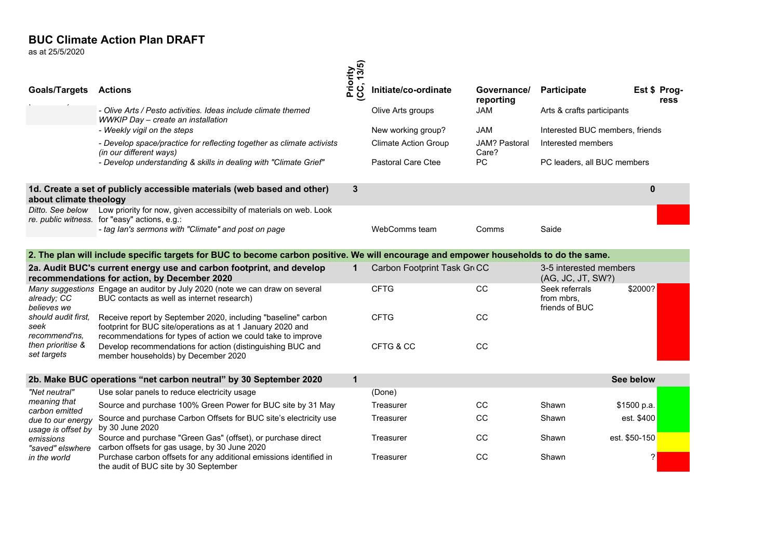$\overline{25}$  Chritate<br>as at 25/5/2020 as at 25/5/2020

|                                                                                                                      |                                                                                                                                                                                             | 13/5)                 |                             |                          |                                                |                      |
|----------------------------------------------------------------------------------------------------------------------|---------------------------------------------------------------------------------------------------------------------------------------------------------------------------------------------|-----------------------|-----------------------------|--------------------------|------------------------------------------------|----------------------|
| <b>Goals/Targets</b>                                                                                                 | <b>Actions</b>                                                                                                                                                                              | Priority<br>(CC, 13/5 | Initiate/co-ordinate        | Governance/<br>reporting | Participate                                    | Est \$ Prog-<br>ress |
|                                                                                                                      | - Olive Arts / Pesto activities. Ideas include climate themed<br>WWKIP Day - create an installation                                                                                         |                       | Olive Arts groups           | <b>JAM</b>               | Arts & crafts participants                     |                      |
|                                                                                                                      | - Weekly vigil on the steps                                                                                                                                                                 |                       | New working group?          | <b>JAM</b>               | Interested BUC members, friends                |                      |
|                                                                                                                      | - Develop space/practice for reflecting together as climate activists<br>(in our different ways)                                                                                            |                       | <b>Climate Action Group</b> | JAM? Pastoral<br>Care?   | Interested members                             |                      |
|                                                                                                                      | - Develop understanding & skills in dealing with "Climate Grief"                                                                                                                            |                       | <b>Pastoral Care Ctee</b>   | <b>PC</b>                | PC leaders, all BUC members                    |                      |
| about climate theology                                                                                               | 1d. Create a set of publicly accessible materials (web based and other)                                                                                                                     | 3                     |                             |                          |                                                | $\mathbf{0}$         |
| Ditto. See below                                                                                                     | Low priority for now, given accessibilty of materials on web. Look<br>re. public witness. for "easy" actions, e.g.:                                                                         |                       |                             |                          |                                                |                      |
|                                                                                                                      | - tag lan's sermons with "Climate" and post on page                                                                                                                                         |                       | WebComms team               | Comms                    | Saide                                          |                      |
|                                                                                                                      | 2. The plan will include specific targets for BUC to become carbon positive. We will encourage and empower households to do the same.                                                       |                       |                             |                          |                                                |                      |
| 2a. Audit BUC's current energy use and carbon footprint, and develop<br>recommendations for action, by December 2020 |                                                                                                                                                                                             | 1                     | Carbon Footprint Task Gr CC |                          | 3-5 interested members<br>(AG, JC, JT, SW?)    |                      |
| already; CC<br>believes we                                                                                           | Many suggestions Engage an auditor by July 2020 (note we can draw on several<br>BUC contacts as well as internet research)                                                                  |                       | <b>CFTG</b>                 | CC                       | Seek referrals<br>from mbrs.<br>friends of BUC | \$2000?              |
| should audit first.<br>seek<br>recommend'ns,                                                                         | Receive report by September 2020, including "baseline" carbon<br>footprint for BUC site/operations as at 1 January 2020 and<br>recommendations for types of action we could take to improve |                       | <b>CFTG</b>                 | CC                       |                                                |                      |
| then prioritise &<br>set targets                                                                                     | Develop recommendations for action (distinguishing BUC and<br>member households) by December 2020                                                                                           |                       | CFTG & CC                   | CC                       |                                                |                      |
|                                                                                                                      | 2b. Make BUC operations "net carbon neutral" by 30 September 2020                                                                                                                           | $\mathbf{1}$          |                             |                          |                                                | See below            |
|                                                                                                                      |                                                                                                                                                                                             |                       |                             |                          |                                                |                      |
| "Net neutral"<br>meaning that                                                                                        | Use solar panels to reduce electricity usage                                                                                                                                                |                       | (Done)                      |                          |                                                |                      |
| carbon emitted                                                                                                       | Source and purchase 100% Green Power for BUC site by 31 May                                                                                                                                 |                       | Treasurer                   | CC                       | Shawn                                          | \$1500 p.a.          |
| due to our energy<br>usage is offset by                                                                              | Source and purchase Carbon Offsets for BUC site's electricity use<br>by 30 June 2020                                                                                                        |                       | Treasurer                   | CC                       | Shawn                                          | est. \$400           |
| emissions<br>"saved" elswhere                                                                                        | Source and purchase "Green Gas" (offset), or purchase direct<br>carbon offsets for gas usage, by 30 June 2020                                                                               |                       | Treasurer                   | CC                       | Shawn                                          | est. \$50-150        |
| in the world                                                                                                         | Purchase carbon offsets for any additional emissions identified in<br>the audit of BUC site by 30 September                                                                                 |                       | Treasurer                   | CC                       | Shawn                                          | ?                    |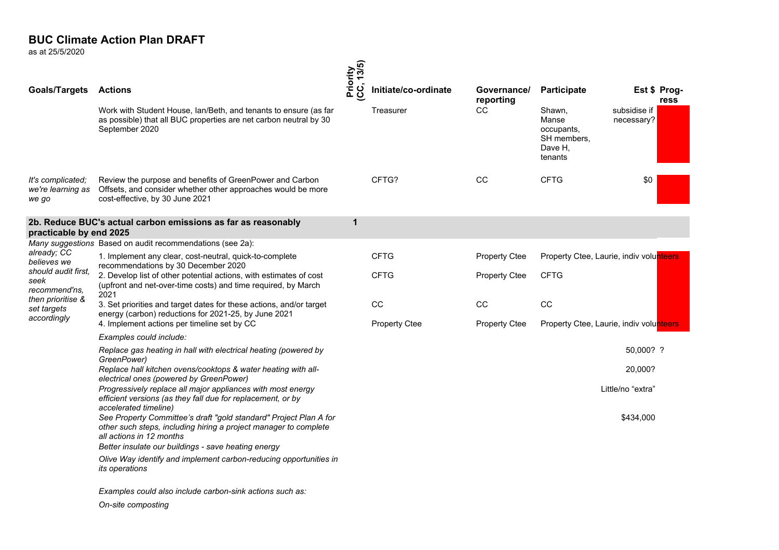as at 25/5/2020

|                                                 |                                                                                                                                                                   | Priority<br>(CC, 13/5) |                      |                          |                                                                    |                            |                      |
|-------------------------------------------------|-------------------------------------------------------------------------------------------------------------------------------------------------------------------|------------------------|----------------------|--------------------------|--------------------------------------------------------------------|----------------------------|----------------------|
| <b>Goals/Targets</b>                            | Actions                                                                                                                                                           |                        | Initiate/co-ordinate | Governance/<br>reporting | <b>Participate</b>                                                 |                            | Est \$ Prog-<br>ress |
|                                                 | Work with Student House, Ian/Beth, and tenants to ensure (as far<br>as possible) that all BUC properties are net carbon neutral by 30<br>September 2020           |                        | Treasurer            | CC                       | Shawn.<br>Manse<br>occupants.<br>SH members,<br>Dave H.<br>tenants | subsidise if<br>necessary? |                      |
| It's complicated;<br>we're learning as<br>we go | Review the purpose and benefits of GreenPower and Carbon<br>Offsets, and consider whether other approaches would be more<br>cost-effective, by 30 June 2021       |                        | CFTG?                | CC                       | <b>CFTG</b>                                                        | \$0                        |                      |
| practicable by end 2025                         | 2b. Reduce BUC's actual carbon emissions as far as reasonably                                                                                                     | 1                      |                      |                          |                                                                    |                            |                      |
|                                                 | Many suggestions Based on audit recommendations (see 2a):                                                                                                         |                        |                      |                          |                                                                    |                            |                      |
| already; CC<br>believes we                      | 1. Implement any clear, cost-neutral, quick-to-complete<br>recommendations by 30 December 2020                                                                    |                        | <b>CFTG</b>          | <b>Property Ctee</b>     | Property Ctee, Laurie, indiv volunteers                            |                            |                      |
| should audit first.<br>seek<br>recommend'ns.    | 2. Develop list of other potential actions, with estimates of cost<br>(upfront and net-over-time costs) and time required, by March<br>2021                       |                        | <b>CFTG</b>          | <b>Property Ctee</b>     | <b>CFTG</b>                                                        |                            |                      |
| then prioritise &<br>set targets<br>accordingly | 3. Set priorities and target dates for these actions, and/or target<br>energy (carbon) reductions for 2021-25, by June 2021                                       |                        | <sub>CC</sub>        | CC                       | CC                                                                 |                            |                      |
|                                                 | 4. Implement actions per timeline set by CC                                                                                                                       |                        | <b>Property Ctee</b> | <b>Property Ctee</b>     | Property Ctee, Laurie, indiv volunteers                            |                            |                      |
|                                                 | Examples could include:                                                                                                                                           |                        |                      |                          |                                                                    |                            |                      |
|                                                 | Replace gas heating in hall with electrical heating (powered by<br>GreenPower)                                                                                    |                        |                      |                          |                                                                    | 50,000? ?                  |                      |
|                                                 | Replace hall kitchen ovens/cooktops & water heating with all-<br>electrical ones (powered by GreenPower)                                                          |                        |                      |                          |                                                                    | 20,000?                    |                      |
|                                                 | Progressively replace all major appliances with most energy<br>efficient versions (as they fall due for replacement, or by<br>accelerated timeline)               |                        |                      |                          |                                                                    | Little/no "extra"          |                      |
|                                                 | See Property Committee's draft "gold standard" Project Plan A for<br>other such steps, including hiring a project manager to complete<br>all actions in 12 months |                        |                      |                          |                                                                    | \$434,000                  |                      |
|                                                 | Better insulate our buildings - save heating energy                                                                                                               |                        |                      |                          |                                                                    |                            |                      |
|                                                 | Olive Way identify and implement carbon-reducing opportunities in<br>its operations                                                                               |                        |                      |                          |                                                                    |                            |                      |
|                                                 | Examples could also include carbon-sink actions such as:                                                                                                          |                        |                      |                          |                                                                    |                            |                      |

On-site composting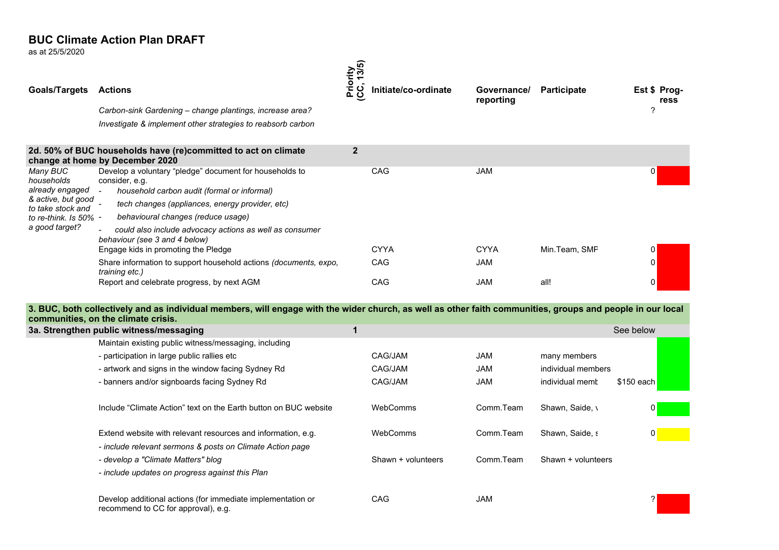as at 25/5/2020

| <b>Goals/Targets</b>                                                                                                               | <b>Actions</b><br>Carbon-sink Gardening – change plantings, increase area?<br>Investigate & implement other strategies to reabsorb carbon                                                                                           | Priority<br>(CC, 13/5) | Initiate/co-ordinate | Governance/<br>reporting | <b>Participate</b> | Est \$ Prog-<br>ress<br>2 |
|------------------------------------------------------------------------------------------------------------------------------------|-------------------------------------------------------------------------------------------------------------------------------------------------------------------------------------------------------------------------------------|------------------------|----------------------|--------------------------|--------------------|---------------------------|
|                                                                                                                                    | 2d. 50% of BUC households have (re)committed to act on climate<br>change at home by December 2020                                                                                                                                   | $\overline{2}$         |                      |                          |                    |                           |
| Many BUC<br>households<br>already engaged<br>& active, but good<br>to take stock and<br>to re-think. Is $50\%$ -<br>a good target? | Develop a voluntary "pledge" document for households to<br>consider, e.g.<br>household carbon audit (formal or informal)<br>$\overline{a}$<br>tech changes (appliances, energy provider, etc)<br>behavioural changes (reduce usage) |                        | CAG                  | <b>JAM</b>               |                    | 0                         |
|                                                                                                                                    | could also include advocacy actions as well as consumer<br>behaviour (see 3 and 4 below)                                                                                                                                            |                        |                      |                          |                    |                           |
|                                                                                                                                    | Engage kids in promoting the Pledge                                                                                                                                                                                                 |                        | <b>CYYA</b>          | <b>CYYA</b>              | Min.Team, SMP      | 0                         |
|                                                                                                                                    | Share information to support household actions (documents, expo,<br>training etc.)                                                                                                                                                  |                        | CAG                  | <b>JAM</b>               |                    | 0                         |
|                                                                                                                                    | Report and celebrate progress, by next AGM                                                                                                                                                                                          |                        | CAG                  | <b>JAM</b>               | all!               | 0                         |

3. BUC, both collectively and as individual members, will engage with the wider church, as well as other faith communities, groups and people in our local communities, on the climate crisis.

| COMMITTED. ON THE CHINAL CHISTS.                                                                                                                   |                    |            |                    |             |
|----------------------------------------------------------------------------------------------------------------------------------------------------|--------------------|------------|--------------------|-------------|
| 3a. Strengthen public witness/messaging                                                                                                            |                    |            |                    | See below   |
| Maintain existing public witness/messaging, including                                                                                              |                    |            |                    |             |
| - participation in large public rallies etc                                                                                                        | CAG/JAM            | JAM        | many members       |             |
| - artwork and signs in the window facing Sydney Rd                                                                                                 | CAG/JAM            | <b>JAM</b> | individual members |             |
| - banners and/or signboards facing Sydney Rd                                                                                                       | CAG/JAM            | <b>JAM</b> | individual memb    | $$150$ each |
| Include "Climate Action" text on the Earth button on BUC website                                                                                   | WebComms           | Comm.Team  | Shawn, Saide, \    | 0           |
| Extend website with relevant resources and information, e.g.                                                                                       | WebComms           | Comm.Team  | Shawn, Saide, s    | 0           |
| - include relevant sermons & posts on Climate Action page<br>- develop a "Climate Matters" blog<br>- include updates on progress against this Plan | Shawn + volunteers | Comm.Team  | Shawn + volunteers |             |
| Develop additional actions (for immediate implementation or<br>recommend to CC for approval), e.g.                                                 | <b>CAG</b>         | <b>JAM</b> |                    |             |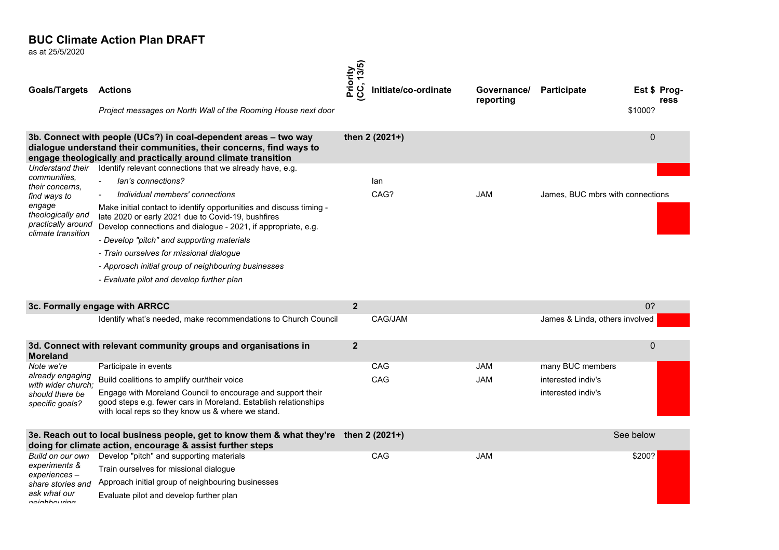as at 25/5/2020

| <b>Goals/Targets</b>                                              | <b>Actions</b>                                                                                                                                                                                                                | 13/5)<br>Priority<br>(CC, 13/5 | Initiate/co-ordinate | Governance/ | <b>Participate</b>               |              | Est \$ Prog- |
|-------------------------------------------------------------------|-------------------------------------------------------------------------------------------------------------------------------------------------------------------------------------------------------------------------------|--------------------------------|----------------------|-------------|----------------------------------|--------------|--------------|
|                                                                   | Project messages on North Wall of the Rooming House next door                                                                                                                                                                 |                                |                      | reporting   |                                  | \$1000?      | ress         |
| Understand their                                                  | 3b. Connect with people (UCs?) in coal-dependent areas - two way<br>dialogue understand their communities, their concerns, find ways to<br>engage theologically and practically around climate transition                     |                                | then 2 (2021+)       |             |                                  | $\mathbf{0}$ |              |
| communities.                                                      | Identify relevant connections that we already have, e.g.                                                                                                                                                                      |                                |                      |             |                                  |              |              |
| their concerns.                                                   | lan's connections?<br>$\mathbf{r}$                                                                                                                                                                                            |                                | lan                  |             |                                  |              |              |
| find ways to<br>engage<br>theologically and<br>practically around | Individual members' connections<br>Make initial contact to identify opportunities and discuss timing -<br>late 2020 or early 2021 due to Covid-19, bushfires<br>Develop connections and dialogue - 2021, if appropriate, e.g. |                                | CAG?                 | JAM         | James, BUC mbrs with connections |              |              |
| climate transition                                                | - Develop "pitch" and supporting materials                                                                                                                                                                                    |                                |                      |             |                                  |              |              |
|                                                                   | - Train ourselves for missional dialoque                                                                                                                                                                                      |                                |                      |             |                                  |              |              |
|                                                                   | - Approach initial group of neighbouring businesses                                                                                                                                                                           |                                |                      |             |                                  |              |              |
|                                                                   | - Evaluate pilot and develop further plan                                                                                                                                                                                     |                                |                      |             |                                  |              |              |
|                                                                   |                                                                                                                                                                                                                               |                                |                      |             |                                  |              |              |
|                                                                   | 3c. Formally engage with ARRCC                                                                                                                                                                                                | $\mathbf{2}$                   |                      |             |                                  | 0?           |              |
|                                                                   | Identify what's needed, make recommendations to Church Council                                                                                                                                                                |                                | CAG/JAM              |             | James & Linda, others involved   |              |              |
| <b>Moreland</b>                                                   | 3d. Connect with relevant community groups and organisations in                                                                                                                                                               | $\overline{\mathbf{2}}$        |                      |             |                                  | $\mathbf 0$  |              |
| Note we're                                                        | Participate in events                                                                                                                                                                                                         |                                | CAG                  | <b>JAM</b>  | many BUC members                 |              |              |
| already engaging<br>with wider church:                            | Build coalitions to amplify our/their voice                                                                                                                                                                                   |                                | CAG                  | <b>JAM</b>  | interested indiv's               |              |              |
| should there be<br>specific goals?                                | Engage with Moreland Council to encourage and support their<br>good steps e.g. fewer cars in Moreland. Establish relationships<br>with local reps so they know us & where we stand.                                           |                                |                      |             | interested indiv's               |              |              |
|                                                                   | 3e. Reach out to local business people, get to know them & what they're<br>doing for climate action, encourage & assist further steps                                                                                         |                                | then 2 (2021+)       |             |                                  | See below    |              |
| Build on our own                                                  | Develop "pitch" and supporting materials                                                                                                                                                                                      |                                | CAG                  | <b>JAM</b>  |                                  | \$200?       |              |
| experiments &                                                     | Train ourselves for missional dialogue                                                                                                                                                                                        |                                |                      |             |                                  |              |              |
| experiences –<br>share stories and                                | Approach initial group of neighbouring businesses                                                                                                                                                                             |                                |                      |             |                                  |              |              |
| ask what our<br>nainhhourinn                                      | Evaluate pilot and develop further plan                                                                                                                                                                                       |                                |                      |             |                                  |              |              |